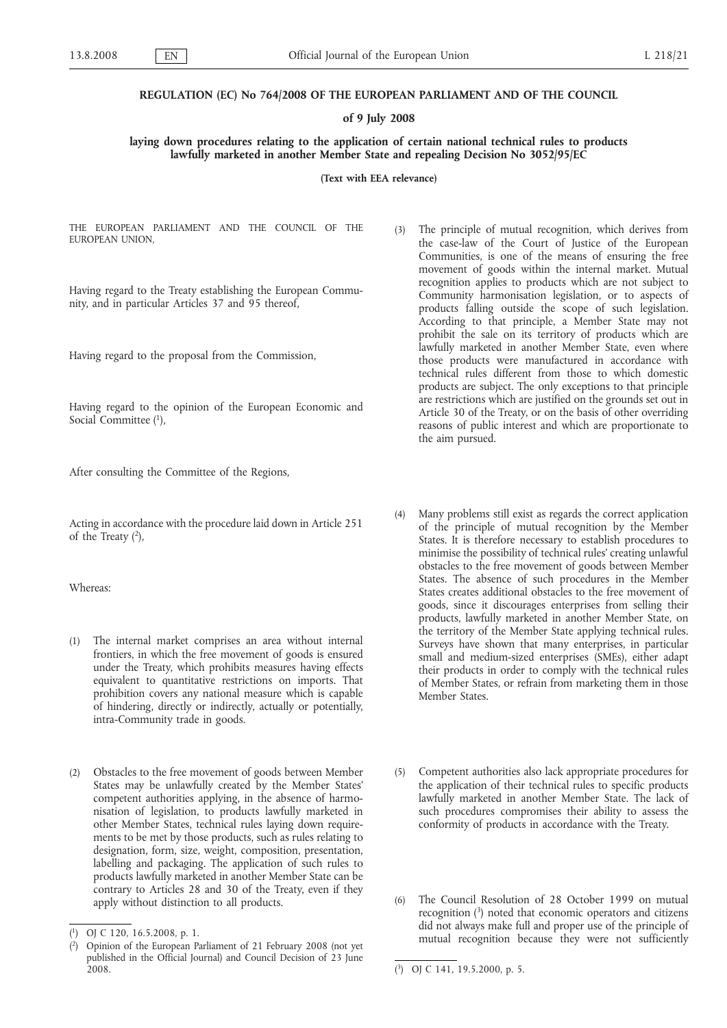# **REGULATION (EC) No 764/2008 OF THE EUROPEAN PARLIAMENT AND OF THE COUNCIL**

**of 9 July 2008**

**laying down procedures relating to the application of certain national technical rules to products lawfully marketed in another Member State and repealing Decision No 3052/95/EC**

**(Text with EEA relevance)**

THE EUROPEAN PARLIAMENT AND THE COUNCIL OF THE EUROPEAN UNION,

Having regard to the Treaty establishing the European Community, and in particular Articles 37 and 95 thereof,

Having regard to the proposal from the Commission,

Having regard to the opinion of the European Economic and Social Committee (1),

After consulting the Committee of the Regions,

Acting in accordance with the procedure laid down in Article 251 of the Treaty  $(2)$ ,

Whereas:

- (1) The internal market comprises an area without internal frontiers, in which the free movement of goods is ensured under the Treaty, which prohibits measures having effects equivalent to quantitative restrictions on imports. That prohibition covers any national measure which is capable of hindering, directly or indirectly, actually or potentially, intra-Community trade in goods.
- (2) Obstacles to the free movement of goods between Member States may be unlawfully created by the Member States' competent authorities applying, in the absence of harmonisation of legislation, to products lawfully marketed in other Member States, technical rules laying down requirements to be met by those products, such as rules relating to designation, form, size, weight, composition, presentation, labelling and packaging. The application of such rules to products lawfully marketed in another Member State can be contrary to Articles 28 and 30 of the Treaty, even if they apply without distinction to all products.
- The principle of mutual recognition, which derives from the case-law of the Court of Justice of the European Communities, is one of the means of ensuring the free movement of goods within the internal market. Mutual recognition applies to products which are not subject to Community harmonisation legislation, or to aspects of products falling outside the scope of such legislation. According to that principle, a Member State may not prohibit the sale on its territory of products which are lawfully marketed in another Member State, even where those products were manufactured in accordance with technical rules different from those to which domestic products are subject. The only exceptions to that principle are restrictions which are justified on the grounds set out in Article 30 of the Treaty, or on the basis of other overriding reasons of public interest and which are proportionate to the aim pursued.
- (4) Many problems still exist as regards the correct application of the principle of mutual recognition by the Member States. It is therefore necessary to establish procedures to minimise the possibility of technical rules' creating unlawful obstacles to the free movement of goods between Member States. The absence of such procedures in the Member States creates additional obstacles to the free movement of goods, since it discourages enterprises from selling their products, lawfully marketed in another Member State, on the territory of the Member State applying technical rules. Surveys have shown that many enterprises, in particular small and medium-sized enterprises (SMEs), either adapt their products in order to comply with the technical rules of Member States, or refrain from marketing them in those Member States.
- (5) Competent authorities also lack appropriate procedures for the application of their technical rules to specific products lawfully marketed in another Member State. The lack of such procedures compromises their ability to assess the conformity of products in accordance with the Treaty.
- (6) The Council Resolution of 28 October 1999 on mutual recognition (3) noted that economic operators and citizens did not always make full and proper use of the principle of mutual recognition because they were not sufficiently

<sup>(</sup> 1) OJ C 120, 16.5.2008, p. 1.

<sup>(</sup> 2) Opinion of the European Parliament of 21 February 2008 (not yet published in the Official Journal) and Council Decision of 23 June 2008. (

<sup>3)</sup> OJ C 141, 19.5.2000, p. 5.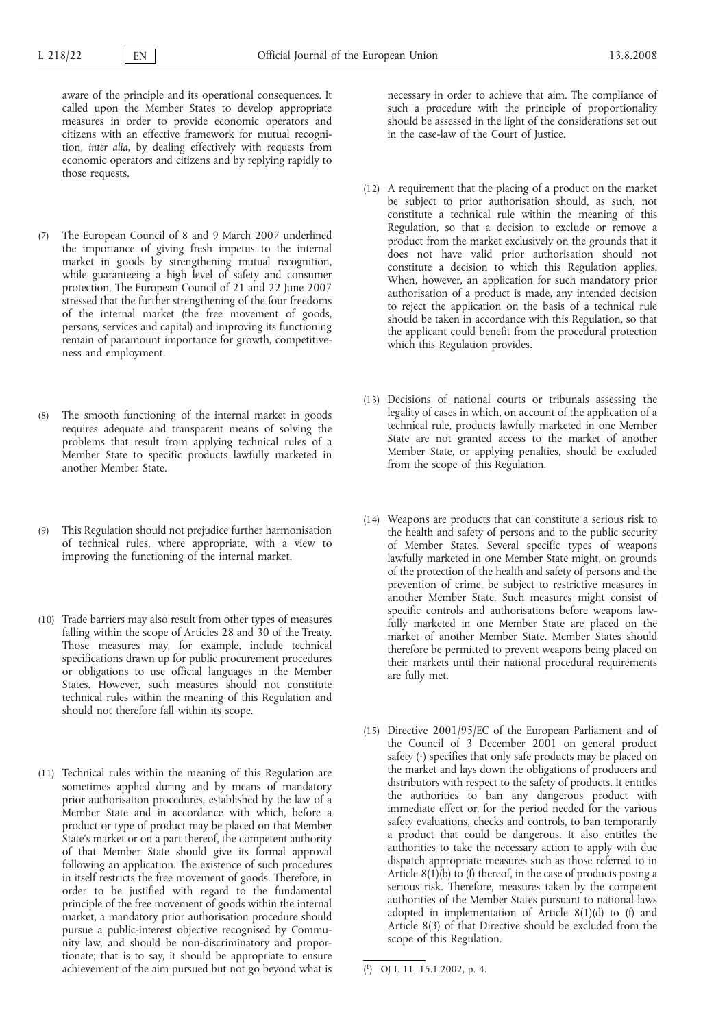aware of the principle and its operational consequences. It called upon the Member States to develop appropriate measures in order to provide economic operators and citizens with an effective framework for mutual recognition, *inter alia*, by dealing effectively with requests from economic operators and citizens and by replying rapidly to those requests.

- (7) The European Council of 8 and 9 March 2007 underlined the importance of giving fresh impetus to the internal market in goods by strengthening mutual recognition, while guaranteeing a high level of safety and consumer protection. The European Council of 21 and 22 June 2007 stressed that the further strengthening of the four freedoms of the internal market (the free movement of goods, persons, services and capital) and improving its functioning remain of paramount importance for growth, competitiveness and employment.
- (8) The smooth functioning of the internal market in goods requires adequate and transparent means of solving the problems that result from applying technical rules of a Member State to specific products lawfully marketed in another Member State.
- This Regulation should not prejudice further harmonisation of technical rules, where appropriate, with a view to improving the functioning of the internal market.
- (10) Trade barriers may also result from other types of measures falling within the scope of Articles 28 and 30 of the Treaty. Those measures may, for example, include technical specifications drawn up for public procurement procedures or obligations to use official languages in the Member States. However, such measures should not constitute technical rules within the meaning of this Regulation and should not therefore fall within its scope.
- (11) Technical rules within the meaning of this Regulation are sometimes applied during and by means of mandatory prior authorisation procedures, established by the law of a Member State and in accordance with which, before a product or type of product may be placed on that Member State's market or on a part thereof, the competent authority of that Member State should give its formal approval following an application. The existence of such procedures in itself restricts the free movement of goods. Therefore, in order to be justified with regard to the fundamental principle of the free movement of goods within the internal market, a mandatory prior authorisation procedure should pursue a public-interest objective recognised by Community law, and should be non-discriminatory and proportionate; that is to say, it should be appropriate to ensure achievement of the aim pursued but not go beyond what is

necessary in order to achieve that aim. The compliance of such a procedure with the principle of proportionality should be assessed in the light of the considerations set out in the case-law of the Court of Justice.

- (12) A requirement that the placing of a product on the market be subject to prior authorisation should, as such, not constitute a technical rule within the meaning of this Regulation, so that a decision to exclude or remove a product from the market exclusively on the grounds that it does not have valid prior authorisation should not constitute a decision to which this Regulation applies. When, however, an application for such mandatory prior authorisation of a product is made, any intended decision to reject the application on the basis of a technical rule should be taken in accordance with this Regulation, so that the applicant could benefit from the procedural protection which this Regulation provides.
- (13) Decisions of national courts or tribunals assessing the legality of cases in which, on account of the application of a technical rule, products lawfully marketed in one Member State are not granted access to the market of another Member State, or applying penalties, should be excluded from the scope of this Regulation.
- (14) Weapons are products that can constitute a serious risk to the health and safety of persons and to the public security of Member States. Several specific types of weapons lawfully marketed in one Member State might, on grounds of the protection of the health and safety of persons and the prevention of crime, be subject to restrictive measures in another Member State. Such measures might consist of specific controls and authorisations before weapons lawfully marketed in one Member State are placed on the market of another Member State. Member States should therefore be permitted to prevent weapons being placed on their markets until their national procedural requirements are fully met.
- (15) Directive 2001/95/EC of the European Parliament and of the Council of 3 December 2001 on general product safety  $(1)$  specifies that only safe products may be placed on the market and lays down the obligations of producers and distributors with respect to the safety of products. It entitles the authorities to ban any dangerous product with immediate effect or, for the period needed for the various safety evaluations, checks and controls, to ban temporarily a product that could be dangerous. It also entitles the authorities to take the necessary action to apply with due dispatch appropriate measures such as those referred to in Article  $8(1)(b)$  to (f) thereof, in the case of products posing a serious risk. Therefore, measures taken by the competent authorities of the Member States pursuant to national laws adopted in implementation of Article  $8(1)(d)$  to (f) and Article 8(3) of that Directive should be excluded from the scope of this Regulation.

<sup>(</sup> 1) OJ L 11, 15.1.2002, p. 4.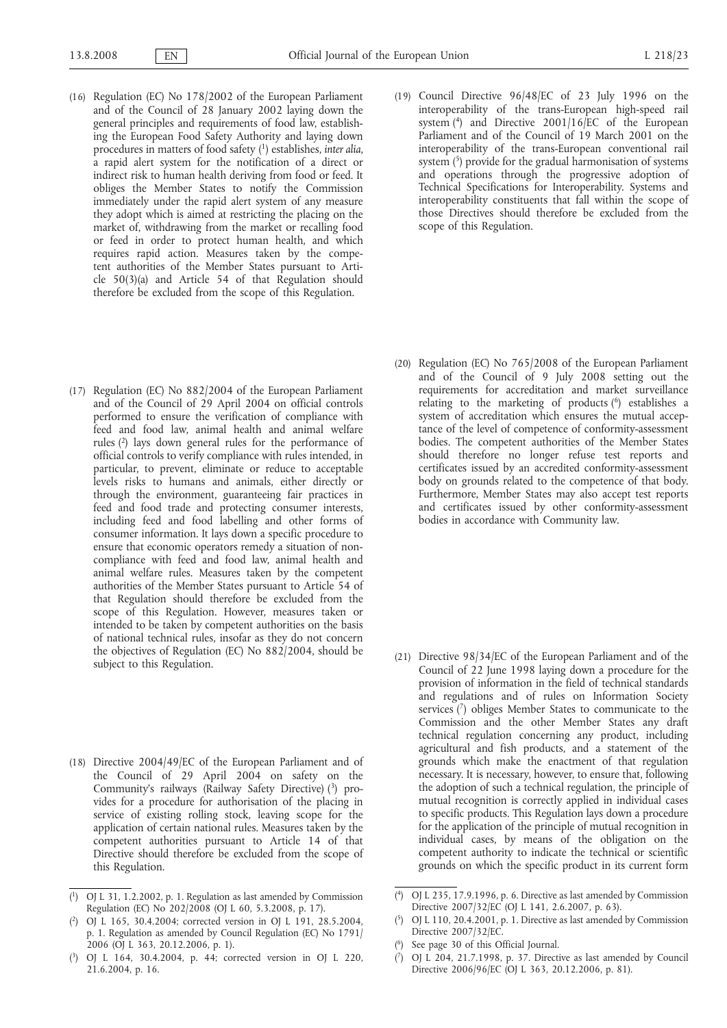- (16) Regulation (EC) No 178/2002 of the European Parliament and of the Council of 28 January 2002 laying down the general principles and requirements of food law, establishing the European Food Safety Authority and laying down procedures in matters of food safety (1) establishes, *inter alia*, a rapid alert system for the notification of a direct or indirect risk to human health deriving from food or feed. It obliges the Member States to notify the Commission immediately under the rapid alert system of any measure they adopt which is aimed at restricting the placing on the market of, withdrawing from the market or recalling food or feed in order to protect human health, and which requires rapid action. Measures taken by the competent authorities of the Member States pursuant to Article 50(3)(a) and Article 54 of that Regulation should therefore be excluded from the scope of this Regulation.
- (17) Regulation (EC) No 882/2004 of the European Parliament and of the Council of 29 April 2004 on official controls performed to ensure the verification of compliance with feed and food law, animal health and animal welfare rules (2) lays down general rules for the performance of official controls to verify compliance with rules intended, in particular, to prevent, eliminate or reduce to acceptable levels risks to humans and animals, either directly or through the environment, guaranteeing fair practices in feed and food trade and protecting consumer interests, including feed and food labelling and other forms of consumer information. It lays down a specific procedure to ensure that economic operators remedy a situation of noncompliance with feed and food law, animal health and animal welfare rules. Measures taken by the competent authorities of the Member States pursuant to Article 54 of that Regulation should therefore be excluded from the scope of this Regulation. However, measures taken or intended to be taken by competent authorities on the basis of national technical rules, insofar as they do not concern the objectives of Regulation (EC) No 882/2004, should be subject to this Regulation.
- (18) Directive 2004/49/EC of the European Parliament and of the Council of 29 April 2004 on safety on the Community's railways (Railway Safety Directive) (3) provides for a procedure for authorisation of the placing in service of existing rolling stock, leaving scope for the application of certain national rules. Measures taken by the competent authorities pursuant to Article 14 of that Directive should therefore be excluded from the scope of this Regulation.

(19) Council Directive 96/48/EC of 23 July 1996 on the interoperability of the trans-European high-speed rail system (<sup>4</sup>) and Directive 2001/16/EC of the European Parliament and of the Council of 19 March 2001 on the interoperability of the trans-European conventional rail system (<sup>5</sup>) provide for the gradual harmonisation of systems and operations through the progressive adoption of Technical Specifications for Interoperability. Systems and interoperability constituents that fall within the scope of those Directives should therefore be excluded from the scope of this Regulation.

(20) Regulation (EC) No 765/2008 of the European Parliament and of the Council of 9 July 2008 setting out the requirements for accreditation and market surveillance relating to the marketing of products (6) establishes a system of accreditation which ensures the mutual acceptance of the level of competence of conformity-assessment bodies. The competent authorities of the Member States should therefore no longer refuse test reports and certificates issued by an accredited conformity-assessment body on grounds related to the competence of that body. Furthermore, Member States may also accept test reports and certificates issued by other conformity-assessment bodies in accordance with Community law.

(21) Directive 98/34/EC of the European Parliament and of the Council of 22 June 1998 laying down a procedure for the provision of information in the field of technical standards and regulations and of rules on Information Society services (7) obliges Member States to communicate to the Commission and the other Member States any draft technical regulation concerning any product, including agricultural and fish products, and a statement of the grounds which make the enactment of that regulation necessary. It is necessary, however, to ensure that, following the adoption of such a technical regulation, the principle of mutual recognition is correctly applied in individual cases to specific products. This Regulation lays down a procedure for the application of the principle of mutual recognition in individual cases, by means of the obligation on the competent authority to indicate the technical or scientific grounds on which the specific product in its current form

- $^{(6)}$ 6) See page 30 of this Official Journal.
- $(7)$ 7) OJ L 204, 21.7.1998, p. 37. Directive as last amended by Council Directive 2006/96/EC (OJ L 363, 20.12.2006, p. 81).

<sup>(</sup> 1) OJ L 31, 1.2.2002, p. 1. Regulation as last amended by Commission Regulation (EC) No 202/2008 (OJ L 60, 5.3.2008, p. 17).

<sup>(</sup> 2) OJ L 165, 30.4.2004; corrected version in OJ L 191, 28.5.2004, p. 1. Regulation as amended by Council Regulation (EC) No 1791/ 2006 (OJ L 363, 20.12.2006, p. 1).

<sup>(</sup> 3) OJ L 164, 30.4.2004, p. 44; corrected version in OJ L 220, 21.6.2004, p. 16.

<sup>(</sup> 4) OJ L 235, 17.9.1996, p. 6. Directive as last amended by Commission Directive 2007/32/EC (OJ L 141, 2.6.2007, p. 63).

<sup>(</sup> 5) OJ L 110, 20.4.2001, p. 1. Directive as last amended by Commission Directive 2007/32/EC.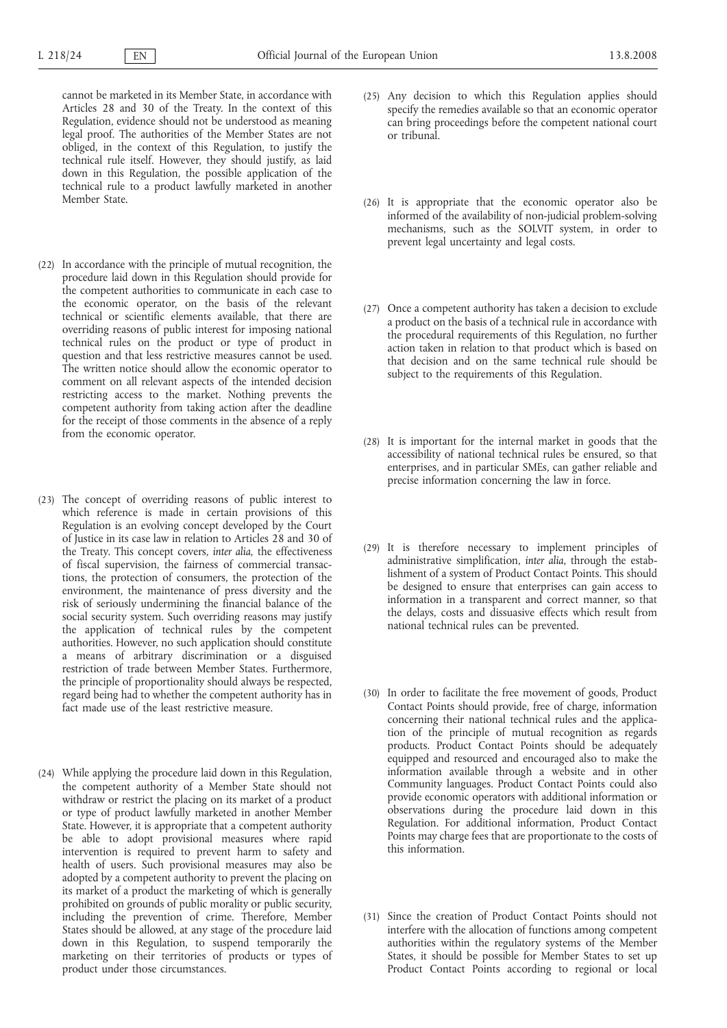cannot be marketed in its Member State, in accordance with Articles 28 and 30 of the Treaty. In the context of this Regulation, evidence should not be understood as meaning legal proof. The authorities of the Member States are not obliged, in the context of this Regulation, to justify the technical rule itself. However, they should justify, as laid down in this Regulation, the possible application of the technical rule to a product lawfully marketed in another Member State.

- (22) In accordance with the principle of mutual recognition, the procedure laid down in this Regulation should provide for the competent authorities to communicate in each case to the economic operator, on the basis of the relevant technical or scientific elements available, that there are overriding reasons of public interest for imposing national technical rules on the product or type of product in question and that less restrictive measures cannot be used. The written notice should allow the economic operator to comment on all relevant aspects of the intended decision restricting access to the market. Nothing prevents the competent authority from taking action after the deadline for the receipt of those comments in the absence of a reply from the economic operator.
- (23) The concept of overriding reasons of public interest to which reference is made in certain provisions of this Regulation is an evolving concept developed by the Court of Justice in its case law in relation to Articles 28 and 30 of the Treaty. This concept covers*, inter alia,* the effectiveness of fiscal supervision, the fairness of commercial transactions, the protection of consumers, the protection of the environment, the maintenance of press diversity and the risk of seriously undermining the financial balance of the social security system. Such overriding reasons may justify the application of technical rules by the competent authorities. However, no such application should constitute a means of arbitrary discrimination or a disguised restriction of trade between Member States. Furthermore, the principle of proportionality should always be respected, regard being had to whether the competent authority has in fact made use of the least restrictive measure.
- (24) While applying the procedure laid down in this Regulation, the competent authority of a Member State should not withdraw or restrict the placing on its market of a product or type of product lawfully marketed in another Member State. However, it is appropriate that a competent authority be able to adopt provisional measures where rapid intervention is required to prevent harm to safety and health of users. Such provisional measures may also be adopted by a competent authority to prevent the placing on its market of a product the marketing of which is generally prohibited on grounds of public morality or public security, including the prevention of crime. Therefore, Member States should be allowed, at any stage of the procedure laid down in this Regulation, to suspend temporarily the marketing on their territories of products or types of product under those circumstances.
- (25) Any decision to which this Regulation applies should specify the remedies available so that an economic operator can bring proceedings before the competent national court or tribunal.
- (26) It is appropriate that the economic operator also be informed of the availability of non-judicial problem-solving mechanisms, such as the SOLVIT system, in order to prevent legal uncertainty and legal costs.
- (27) Once a competent authority has taken a decision to exclude a product on the basis of a technical rule in accordance with the procedural requirements of this Regulation, no further action taken in relation to that product which is based on that decision and on the same technical rule should be subject to the requirements of this Regulation.
- (28) It is important for the internal market in goods that the accessibility of national technical rules be ensured, so that enterprises, and in particular SMEs, can gather reliable and precise information concerning the law in force.
- (29) It is therefore necessary to implement principles of administrative simplification, *inter alia*, through the establishment of a system of Product Contact Points. This should be designed to ensure that enterprises can gain access to information in a transparent and correct manner, so that the delays, costs and dissuasive effects which result from national technical rules can be prevented.
- (30) In order to facilitate the free movement of goods, Product Contact Points should provide, free of charge, information concerning their national technical rules and the application of the principle of mutual recognition as regards products. Product Contact Points should be adequately equipped and resourced and encouraged also to make the information available through a website and in other Community languages. Product Contact Points could also provide economic operators with additional information or observations during the procedure laid down in this Regulation. For additional information, Product Contact Points may charge fees that are proportionate to the costs of this information.
- (31) Since the creation of Product Contact Points should not interfere with the allocation of functions among competent authorities within the regulatory systems of the Member States, it should be possible for Member States to set up Product Contact Points according to regional or local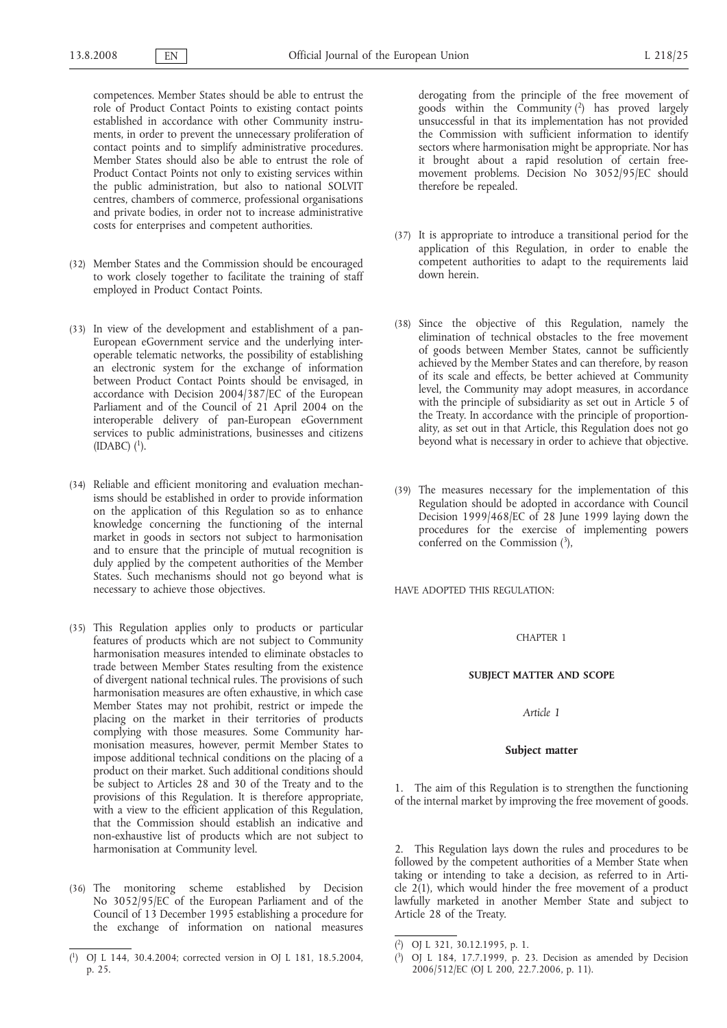competences. Member States should be able to entrust the role of Product Contact Points to existing contact points established in accordance with other Community instruments, in order to prevent the unnecessary proliferation of contact points and to simplify administrative procedures. Member States should also be able to entrust the role of Product Contact Points not only to existing services within the public administration, but also to national SOLVIT centres, chambers of commerce, professional organisations and private bodies, in order not to increase administrative costs for enterprises and competent authorities.

- (32) Member States and the Commission should be encouraged to work closely together to facilitate the training of staff employed in Product Contact Points.
- (33) In view of the development and establishment of a pan-European eGovernment service and the underlying interoperable telematic networks, the possibility of establishing an electronic system for the exchange of information between Product Contact Points should be envisaged, in accordance with Decision 2004/387/EC of the European Parliament and of the Council of 21 April 2004 on the interoperable delivery of pan-European eGovernment services to public administrations, businesses and citizens (IDABC) $(^1)$ .
- (34) Reliable and efficient monitoring and evaluation mechanisms should be established in order to provide information on the application of this Regulation so as to enhance knowledge concerning the functioning of the internal market in goods in sectors not subject to harmonisation and to ensure that the principle of mutual recognition is duly applied by the competent authorities of the Member States. Such mechanisms should not go beyond what is necessary to achieve those objectives.
- (35) This Regulation applies only to products or particular features of products which are not subject to Community harmonisation measures intended to eliminate obstacles to trade between Member States resulting from the existence of divergent national technical rules. The provisions of such harmonisation measures are often exhaustive, in which case Member States may not prohibit, restrict or impede the placing on the market in their territories of products complying with those measures. Some Community harmonisation measures, however, permit Member States to impose additional technical conditions on the placing of a product on their market. Such additional conditions should be subject to Articles 28 and 30 of the Treaty and to the provisions of this Regulation. It is therefore appropriate, with a view to the efficient application of this Regulation, that the Commission should establish an indicative and non-exhaustive list of products which are not subject to harmonisation at Community level.
- (36) The monitoring scheme established by Decision No 3052/95/EC of the European Parliament and of the Council of 13 December 1995 establishing a procedure for the exchange of information on national measures

derogating from the principle of the free movement of goods within the Community (2) has proved largely unsuccessful in that its implementation has not provided the Commission with sufficient information to identify sectors where harmonisation might be appropriate. Nor has it brought about a rapid resolution of certain freemovement problems. Decision No 3052/95/EC should therefore be repealed.

- (37) It is appropriate to introduce a transitional period for the application of this Regulation, in order to enable the competent authorities to adapt to the requirements laid down herein.
- (38) Since the objective of this Regulation, namely the elimination of technical obstacles to the free movement of goods between Member States, cannot be sufficiently achieved by the Member States and can therefore, by reason of its scale and effects, be better achieved at Community level, the Community may adopt measures, in accordance with the principle of subsidiarity as set out in Article 5 of the Treaty. In accordance with the principle of proportionality, as set out in that Article, this Regulation does not go beyond what is necessary in order to achieve that objective.
- (39) The measures necessary for the implementation of this Regulation should be adopted in accordance with Council Decision 1999/468/EC of 28 June 1999 laying down the procedures for the exercise of implementing powers conferred on the Commission  $(3)$ ,

HAVE ADOPTED THIS REGULATION:

### CHAPTER 1

## **SUBJECT MATTER AND SCOPE**

# *Article 1*

### **Subject matter**

1. The aim of this Regulation is to strengthen the functioning of the internal market by improving the free movement of goods.

2. This Regulation lays down the rules and procedures to be followed by the competent authorities of a Member State when taking or intending to take a decision, as referred to in Article  $2(1)$ , which would hinder the free movement of a product lawfully marketed in another Member State and subject to Article 28 of the Treaty.

<sup>(</sup> 1) OJ L 144, 30.4.2004; corrected version in OJ L 181, 18.5.2004, p. 25.

<sup>(</sup> 2) OJ L 321, 30.12.1995, p. 1.

 $(3)$ 3) OJ L 184, 17.7.1999, p. 23. Decision as amended by Decision 2006/512/EC (OJ L 200, 22.7.2006, p. 11).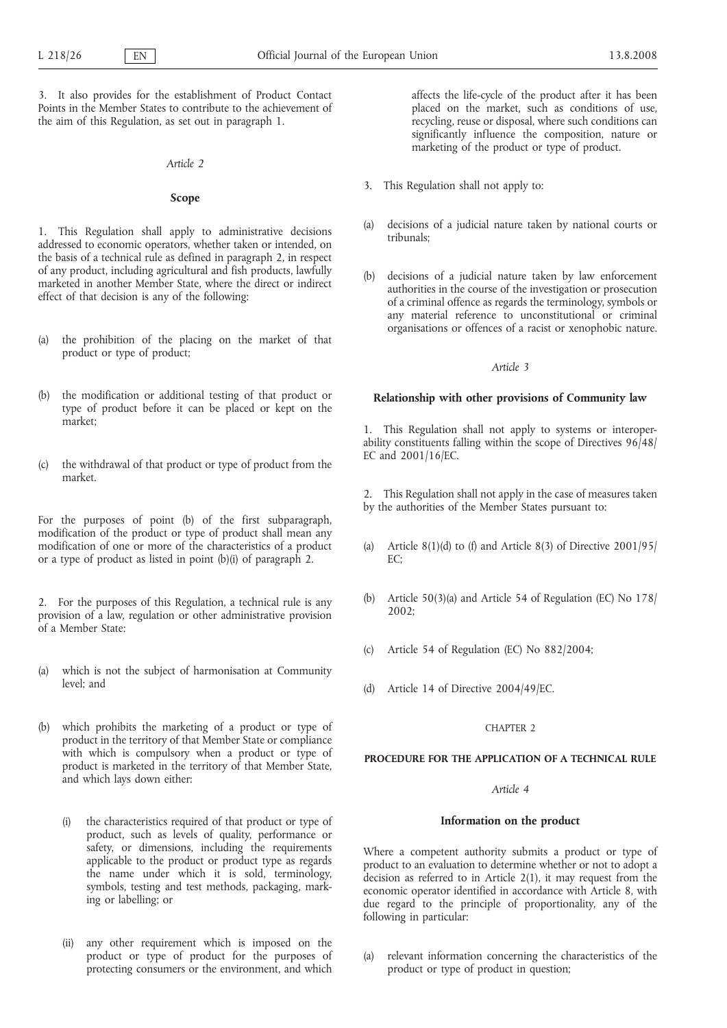3. It also provides for the establishment of Product Contact Points in the Member States to contribute to the achievement of the aim of this Regulation, as set out in paragraph 1.

#### *Article 2*

### **Scope**

1. This Regulation shall apply to administrative decisions addressed to economic operators, whether taken or intended, on the basis of a technical rule as defined in paragraph 2, in respect of any product, including agricultural and fish products, lawfully marketed in another Member State, where the direct or indirect effect of that decision is any of the following:

- (a) the prohibition of the placing on the market of that product or type of product;
- (b) the modification or additional testing of that product or type of product before it can be placed or kept on the market;
- (c) the withdrawal of that product or type of product from the market.

For the purposes of point (b) of the first subparagraph, modification of the product or type of product shall mean any modification of one or more of the characteristics of a product or a type of product as listed in point (b)(i) of paragraph 2.

2. For the purposes of this Regulation, a technical rule is any provision of a law, regulation or other administrative provision of a Member State:

- (a) which is not the subject of harmonisation at Community level; and
- (b) which prohibits the marketing of a product or type of product in the territory of that Member State or compliance with which is compulsory when a product or type of product is marketed in the territory of that Member State, and which lays down either:
	- (i) the characteristics required of that product or type of product, such as levels of quality, performance or safety, or dimensions, including the requirements applicable to the product or product type as regards the name under which it is sold, terminology, symbols, testing and test methods, packaging, marking or labelling; or
	- (ii) any other requirement which is imposed on the product or type of product for the purposes of protecting consumers or the environment, and which

affects the life-cycle of the product after it has been placed on the market, such as conditions of use, recycling, reuse or disposal, where such conditions can significantly influence the composition, nature or marketing of the product or type of product.

- 3. This Regulation shall not apply to:
- (a) decisions of a judicial nature taken by national courts or tribunals;
- (b) decisions of a judicial nature taken by law enforcement authorities in the course of the investigation or prosecution of a criminal offence as regards the terminology, symbols or any material reference to unconstitutional or criminal organisations or offences of a racist or xenophobic nature.

# *Article 3*

### **Relationship with other provisions of Community law**

1. This Regulation shall not apply to systems or interoperability constituents falling within the scope of Directives 96/48/ EC and 2001/16/EC.

2. This Regulation shall not apply in the case of measures taken by the authorities of the Member States pursuant to:

- (a) Article  $8(1)(d)$  to (f) and Article  $8(3)$  of Directive 2001/95/  $E$ <sup> $\cdot$ </sup>
- (b) Article 50(3)(a) and Article 54 of Regulation (EC) No 178/ 2002;
- (c) Article 54 of Regulation (EC) No 882/2004;
- (d) Article 14 of Directive 2004/49/EC.

# CHAPTER 2

# **PROCEDURE FOR THE APPLICATION OF A TECHNICAL RULE**

## *Article 4*

# **Information on the product**

Where a competent authority submits a product or type of product to an evaluation to determine whether or not to adopt a decision as referred to in Article 2(1), it may request from the economic operator identified in accordance with Article 8, with due regard to the principle of proportionality, any of the following in particular:

(a) relevant information concerning the characteristics of the product or type of product in question;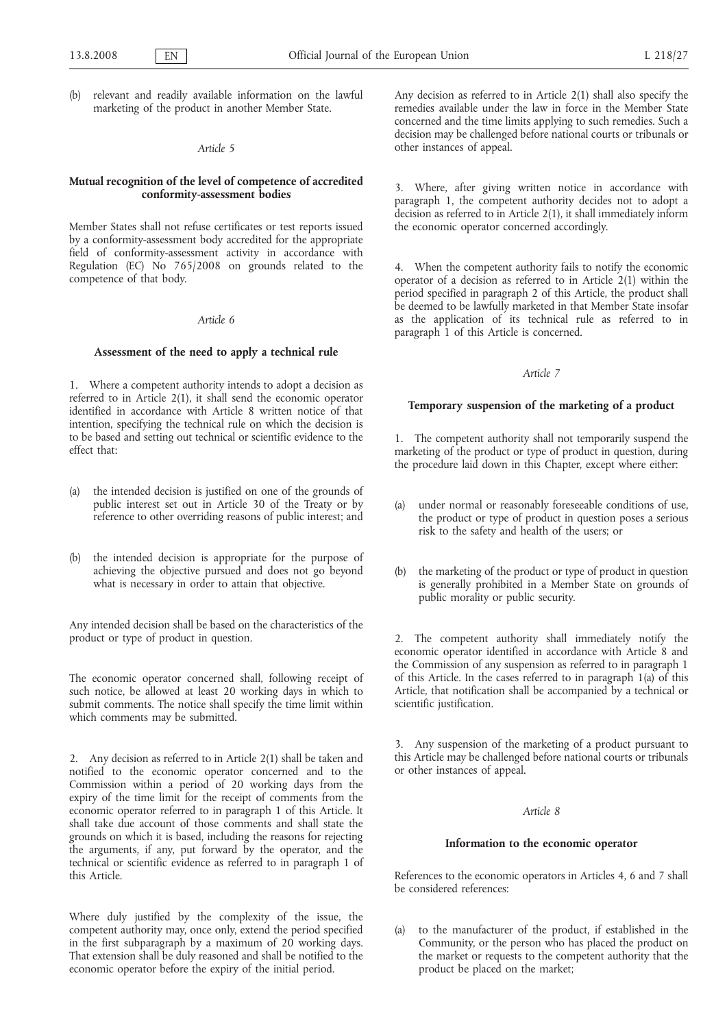(b) relevant and readily available information on the lawful marketing of the product in another Member State.

# *Article 5*

# **Mutual recognition of the level of competence of accredited conformity-assessment bodies**

Member States shall not refuse certificates or test reports issued by a conformity-assessment body accredited for the appropriate field of conformity-assessment activity in accordance with Regulation (EC) No 765/2008 on grounds related to the competence of that body.

### *Article 6*

### **Assessment of the need to apply a technical rule**

1. Where a competent authority intends to adopt a decision as referred to in Article 2(1), it shall send the economic operator identified in accordance with Article 8 written notice of that intention, specifying the technical rule on which the decision is to be based and setting out technical or scientific evidence to the effect that:

- (a) the intended decision is justified on one of the grounds of public interest set out in Article 30 of the Treaty or by reference to other overriding reasons of public interest; and
- (b) the intended decision is appropriate for the purpose of achieving the objective pursued and does not go beyond what is necessary in order to attain that objective.

Any intended decision shall be based on the characteristics of the product or type of product in question.

The economic operator concerned shall, following receipt of such notice, be allowed at least 20 working days in which to submit comments. The notice shall specify the time limit within which comments may be submitted.

2. Any decision as referred to in Article 2(1) shall be taken and notified to the economic operator concerned and to the Commission within a period of 20 working days from the expiry of the time limit for the receipt of comments from the economic operator referred to in paragraph 1 of this Article. It shall take due account of those comments and shall state the grounds on which it is based, including the reasons for rejecting the arguments, if any, put forward by the operator, and the technical or scientific evidence as referred to in paragraph 1 of this Article.

Where duly justified by the complexity of the issue, the competent authority may, once only, extend the period specified in the first subparagraph by a maximum of 20 working days. That extension shall be duly reasoned and shall be notified to the economic operator before the expiry of the initial period.

Any decision as referred to in Article 2(1) shall also specify the remedies available under the law in force in the Member State concerned and the time limits applying to such remedies. Such a decision may be challenged before national courts or tribunals or other instances of appeal.

3. Where, after giving written notice in accordance with paragraph 1, the competent authority decides not to adopt a decision as referred to in Article 2(1), it shall immediately inform the economic operator concerned accordingly.

4. When the competent authority fails to notify the economic operator of a decision as referred to in Article 2(1) within the period specified in paragraph 2 of this Article, the product shall be deemed to be lawfully marketed in that Member State insofar as the application of its technical rule as referred to in paragraph 1 of this Article is concerned.

### *Article 7*

# **Temporary suspension of the marketing of a product**

1. The competent authority shall not temporarily suspend the marketing of the product or type of product in question, during the procedure laid down in this Chapter, except where either:

- (a) under normal or reasonably foreseeable conditions of use, the product or type of product in question poses a serious risk to the safety and health of the users; or
- (b) the marketing of the product or type of product in question is generally prohibited in a Member State on grounds of public morality or public security.

2. The competent authority shall immediately notify the economic operator identified in accordance with Article 8 and the Commission of any suspension as referred to in paragraph 1 of this Article. In the cases referred to in paragraph 1(a) of this Article, that notification shall be accompanied by a technical or scientific justification.

3. Any suspension of the marketing of a product pursuant to this Article may be challenged before national courts or tribunals or other instances of appeal.

## *Article 8*

#### **Information to the economic operator**

References to the economic operators in Articles 4, 6 and 7 shall be considered references:

(a) to the manufacturer of the product, if established in the Community, or the person who has placed the product on the market or requests to the competent authority that the product be placed on the market;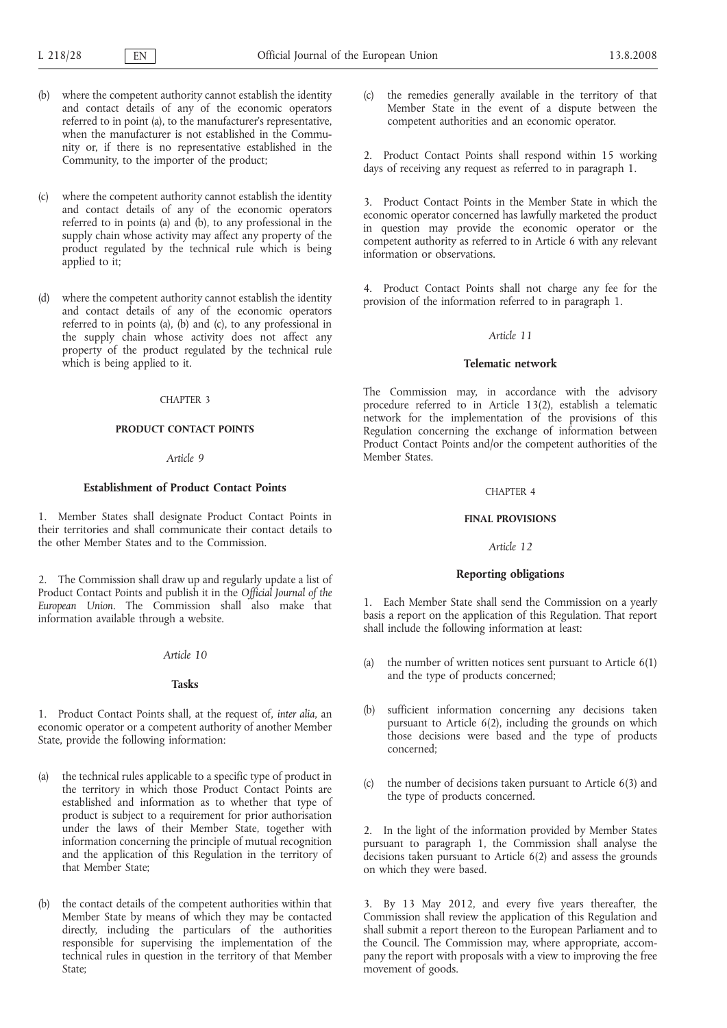- (b) where the competent authority cannot establish the identity and contact details of any of the economic operators referred to in point (a), to the manufacturer's representative, when the manufacturer is not established in the Community or, if there is no representative established in the Community, to the importer of the product;
- (c) where the competent authority cannot establish the identity and contact details of any of the economic operators referred to in points (a) and (b), to any professional in the supply chain whose activity may affect any property of the product regulated by the technical rule which is being applied to it;
- (d) where the competent authority cannot establish the identity and contact details of any of the economic operators referred to in points (a), (b) and (c), to any professional in the supply chain whose activity does not affect any property of the product regulated by the technical rule which is being applied to it.

### CHAPTER 3

## **PRODUCT CONTACT POINTS**

### *Article 9*

## **Establishment of Product Contact Points**

1. Member States shall designate Product Contact Points in their territories and shall communicate their contact details to the other Member States and to the Commission.

2. The Commission shall draw up and regularly update a list of Product Contact Points and publish it in the *Official Journal of the European Union*. The Commission shall also make that information available through a website.

*Article 10*

#### **Tasks**

1. Product Contact Points shall, at the request of, *inter alia*, an economic operator or a competent authority of another Member State, provide the following information:

- (a) the technical rules applicable to a specific type of product in the territory in which those Product Contact Points are established and information as to whether that type of product is subject to a requirement for prior authorisation under the laws of their Member State, together with information concerning the principle of mutual recognition and the application of this Regulation in the territory of that Member State;
- (b) the contact details of the competent authorities within that Member State by means of which they may be contacted directly, including the particulars of the authorities responsible for supervising the implementation of the technical rules in question in the territory of that Member State;

(c) the remedies generally available in the territory of that Member State in the event of a dispute between the competent authorities and an economic operator.

2. Product Contact Points shall respond within 15 working days of receiving any request as referred to in paragraph 1.

3. Product Contact Points in the Member State in which the economic operator concerned has lawfully marketed the product in question may provide the economic operator or the competent authority as referred to in Article 6 with any relevant information or observations.

4. Product Contact Points shall not charge any fee for the provision of the information referred to in paragraph 1.

### *Article 11*

#### **Telematic network**

The Commission may, in accordance with the advisory procedure referred to in Article 13(2), establish a telematic network for the implementation of the provisions of this Regulation concerning the exchange of information between Product Contact Points and/or the competent authorities of the Member States.

## CHAPTER 4

# **FINAL PROVISIONS**

## *Article 12*

### **Reporting obligations**

1. Each Member State shall send the Commission on a yearly basis a report on the application of this Regulation. That report shall include the following information at least:

- (a) the number of written notices sent pursuant to Article 6(1) and the type of products concerned;
- (b) sufficient information concerning any decisions taken pursuant to Article 6(2), including the grounds on which those decisions were based and the type of products concerned;
- (c) the number of decisions taken pursuant to Article 6(3) and the type of products concerned.

2. In the light of the information provided by Member States pursuant to paragraph 1, the Commission shall analyse the decisions taken pursuant to Article 6(2) and assess the grounds on which they were based.

3. By 13 May 2012, and every five years thereafter, the Commission shall review the application of this Regulation and shall submit a report thereon to the European Parliament and to the Council. The Commission may, where appropriate, accompany the report with proposals with a view to improving the free movement of goods.